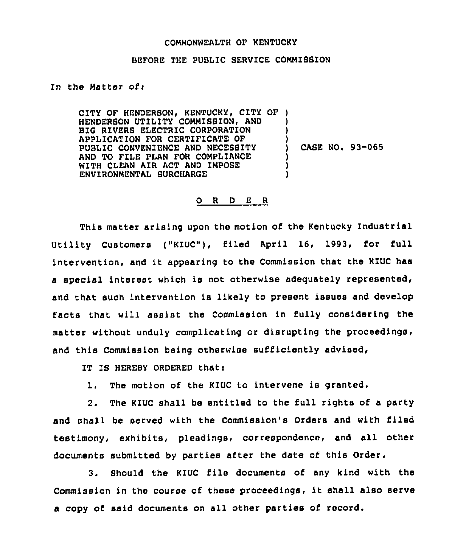## COMMONWEALTH OF KENTUCKY

## BEFORE THE PUBLIC SERVICE COMMIBSION

## In the Matter ofi

CITY OF HENDERBON, KENTUCKY, CITY OF ) HENDERBON UTILITY COMMISSION, AND BIG RIVERS ELECTRIC CORPORATION APPLICATION FOR CERTIFICATE OF PUBLIC CONVENIENCE AND NECESSITY AND TO FILE PLAN FOR COMPLIANCE WITH CLEAN AIR ACT AND IMPOSE ENVIRONMENTAL BURCHARGE ) )  $\mathbf{I}$ ) CASE NO. 93-065 ) ) )

## 0 <sup>R</sup> <sup>D</sup> E <sup>R</sup>

This matter arising upon the motion of the Kentucky Industrial Utility Customers ("KIUC"), filed April 16, 1993, for full intervention, and it appearing to the Commission that the KIUC has a special interest which is not otherwise adequately represented, and that such intervention is likely to present issues and develop facts that will assist the Commission in fully considering the matter without unduly complicating or disrupting the proceedings, and this Commission being otherwise sufficiently advised,

IT IS HEREBY ORDERED that:

l. The motion of the KIUC to intervene is granted.

2. The KIUC shall be entitled to the full rights of a party and shall be served with the Commission's Orders and with filed testimony, exhibits, pleadings, correspondence, and all other documents submitted by parties after the date of this Order.

3. Should the KIUC file documents of any kind with the Commission in the course of these proceedings, it shall also serve a copy of said documents on all other parties of record.